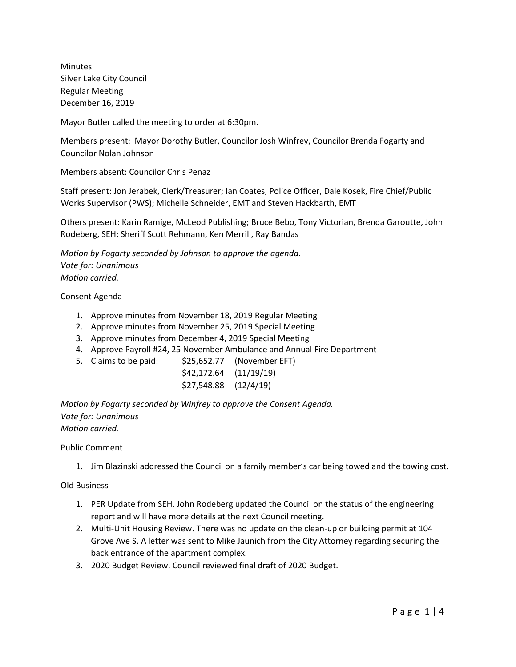Minutes Silver Lake City Council Regular Meeting December 16, 2019

Mayor Butler called the meeting to order at 6:30pm.

Members present: Mayor Dorothy Butler, Councilor Josh Winfrey, Councilor Brenda Fogarty and Councilor Nolan Johnson

Members absent: Councilor Chris Penaz

Staff present: Jon Jerabek, Clerk/Treasurer; Ian Coates, Police Officer, Dale Kosek, Fire Chief/Public Works Supervisor (PWS); Michelle Schneider, EMT and Steven Hackbarth, EMT

Others present: Karin Ramige, McLeod Publishing; Bruce Bebo, Tony Victorian, Brenda Garoutte, John Rodeberg, SEH; Sheriff Scott Rehmann, Ken Merrill, Ray Bandas

*Motion by Fogarty seconded by Johnson to approve the agenda. Vote for: Unanimous Motion carried.*

Consent Agenda

- 1. Approve minutes from November 18, 2019 Regular Meeting
- 2. Approve minutes from November 25, 2019 Special Meeting
- 3. Approve minutes from December 4, 2019 Special Meeting
- 4. Approve Payroll #24, 25 November Ambulance and Annual Fire Department
- 5. Claims to be paid: \$25,652.77 (November EFT)
	- \$42,172.64 (11/19/19)
	- \$27,548.88 (12/4/19)

*Motion by Fogarty seconded by Winfrey to approve the Consent Agenda. Vote for: Unanimous Motion carried.*

Public Comment

1. Jim Blazinski addressed the Council on a family member's car being towed and the towing cost.

Old Business

- 1. PER Update from SEH. John Rodeberg updated the Council on the status of the engineering report and will have more details at the next Council meeting.
- 2. Multi-Unit Housing Review. There was no update on the clean-up or building permit at 104 Grove Ave S. A letter was sent to Mike Jaunich from the City Attorney regarding securing the back entrance of the apartment complex.
- 3. 2020 Budget Review. Council reviewed final draft of 2020 Budget.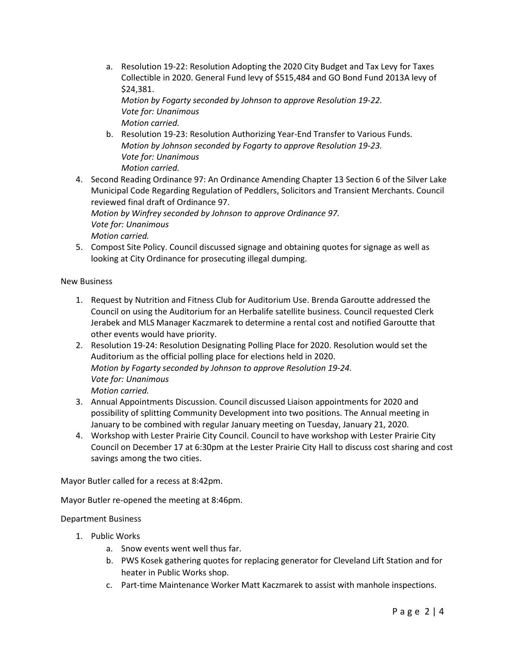a. Resolution 19-22: Resolution Adopting the 2020 City Budget and Tax Levy for Taxes Collectible in 2020. General Fund levy of \$515,484 and GO Bond Fund 2013A levy of \$24,381.

*Motion by Fogarty seconded by Johnson to approve Resolution 19-22. Vote for: Unanimous Motion carried.*

- b. Resolution 19-23: Resolution Authorizing Year-End Transfer to Various Funds. *Motion by Johnson seconded by Fogarty to approve Resolution 19-23. Vote for: Unanimous Motion carried.*
- 4. Second Reading Ordinance 97: An Ordinance Amending Chapter 13 Section 6 of the Silver Lake Municipal Code Regarding Regulation of Peddlers, Solicitors and Transient Merchants. Council reviewed final draft of Ordinance 97. *Motion by Winfrey seconded by Johnson to approve Ordinance 97. Vote for: Unanimous*

*Motion carried.* 

5. Compost Site Policy. Council discussed signage and obtaining quotes for signage as well as looking at City Ordinance for prosecuting illegal dumping.

New Business

- 1. Request by Nutrition and Fitness Club for Auditorium Use. Brenda Garoutte addressed the Council on using the Auditorium for an Herbalife satellite business. Council requested Clerk Jerabek and MLS Manager Kaczmarek to determine a rental cost and notified Garoutte that other events would have priority.
- 2. Resolution 19-24: Resolution Designating Polling Place for 2020. Resolution would set the Auditorium as the official polling place for elections held in 2020. *Motion by Fogarty seconded by Johnson to approve Resolution 19-24. Vote for: Unanimous Motion carried.*
- 3. Annual Appointments Discussion. Council discussed Liaison appointments for 2020 and possibility of splitting Community Development into two positions. The Annual meeting in January to be combined with regular January meeting on Tuesday, January 21, 2020.
- 4. Workshop with Lester Prairie City Council. Council to have workshop with Lester Prairie City Council on December 17 at 6:30pm at the Lester Prairie City Hall to discuss cost sharing and cost savings among the two cities.

Mayor Butler called for a recess at 8:42pm.

Mayor Butler re-opened the meeting at 8:46pm.

Department Business

- 1. Public Works
	- a. Snow events went well thus far.
	- b. PWS Kosek gathering quotes for replacing generator for Cleveland Lift Station and for heater in Public Works shop.
	- c. Part-time Maintenance Worker Matt Kaczmarek to assist with manhole inspections.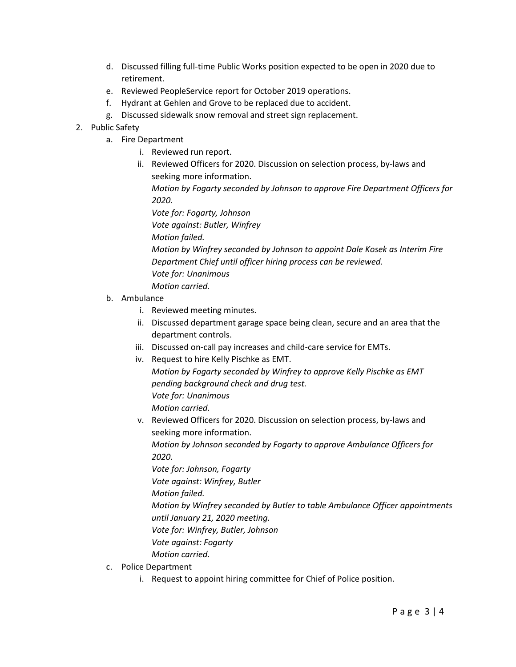- d. Discussed filling full-time Public Works position expected to be open in 2020 due to retirement.
- e. Reviewed PeopleService report for October 2019 operations.
- f. Hydrant at Gehlen and Grove to be replaced due to accident.
- g. Discussed sidewalk snow removal and street sign replacement.
- 2. Public Safety
	- a. Fire Department
		- i. Reviewed run report.
		- ii. Reviewed Officers for 2020. Discussion on selection process, by-laws and seeking more information.

*Motion by Fogarty seconded by Johnson to approve Fire Department Officers for 2020.*

*Vote for: Fogarty, Johnson Vote against: Butler, Winfrey*

*Motion failed.*

*Motion by Winfrey seconded by Johnson to appoint Dale Kosek as Interim Fire Department Chief until officer hiring process can be reviewed. Vote for: Unanimous Motion carried.*

- b. Ambulance
	- i. Reviewed meeting minutes.
	- ii. Discussed department garage space being clean, secure and an area that the department controls.
	- iii. Discussed on-call pay increases and child-care service for EMTs.
	- iv. Request to hire Kelly Pischke as EMT. *Motion by Fogarty seconded by Winfrey to approve Kelly Pischke as EMT pending background check and drug test. Vote for: Unanimous Motion carried.*
		- v. Reviewed Officers for 2020. Discussion on selection process, by-laws and seeking more information. *Motion by Johnson seconded by Fogarty to approve Ambulance Officers for 2020.*

*Vote for: Johnson, Fogarty*

*Vote against: Winfrey, Butler*

*Motion failed.*

*Motion by Winfrey seconded by Butler to table Ambulance Officer appointments until January 21, 2020 meeting.*

*Vote for: Winfrey, Butler, Johnson*

- *Vote against: Fogarty*
- *Motion carried.*
- c. Police Department
	- i. Request to appoint hiring committee for Chief of Police position.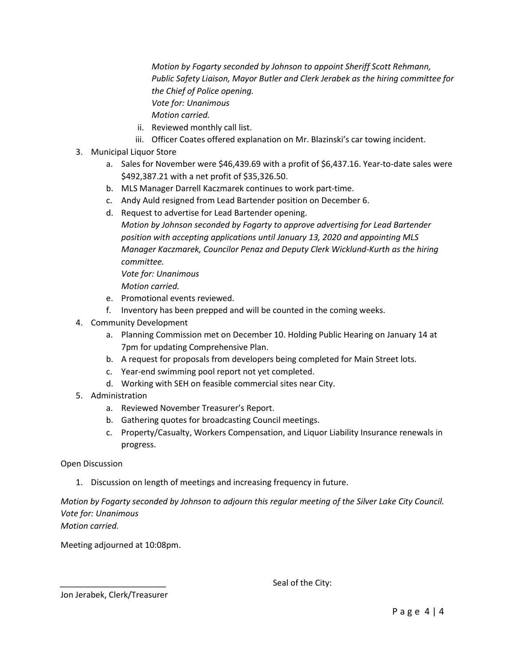*Motion by Fogarty seconded by Johnson to appoint Sheriff Scott Rehmann, Public Safety Liaison, Mayor Butler and Clerk Jerabek as the hiring committee for the Chief of Police opening. Vote for: Unanimous Motion carried.*

- ii. Reviewed monthly call list.
- iii. Officer Coates offered explanation on Mr. Blazinski's car towing incident.
- 3. Municipal Liquor Store
	- a. Sales for November were \$46,439.69 with a profit of \$6,437.16. Year-to-date sales were \$492,387.21 with a net profit of \$35,326.50.
	- b. MLS Manager Darrell Kaczmarek continues to work part-time.
	- c. Andy Auld resigned from Lead Bartender position on December 6.
	- d. Request to advertise for Lead Bartender opening.
		- *Motion by Johnson seconded by Fogarty to approve advertising for Lead Bartender position with accepting applications until January 13, 2020 and appointing MLS Manager Kaczmarek, Councilor Penaz and Deputy Clerk Wicklund-Kurth as the hiring committee. Vote for: Unanimous*

*Motion carried.* 

- e. Promotional events reviewed.
- f. Inventory has been prepped and will be counted in the coming weeks.
- 4. Community Development
	- a. Planning Commission met on December 10. Holding Public Hearing on January 14 at 7pm for updating Comprehensive Plan.
	- b. A request for proposals from developers being completed for Main Street lots.
	- c. Year-end swimming pool report not yet completed.
	- d. Working with SEH on feasible commercial sites near City.
- 5. Administration
	- a. Reviewed November Treasurer's Report.
	- b. Gathering quotes for broadcasting Council meetings.
	- c. Property/Casualty, Workers Compensation, and Liquor Liability Insurance renewals in progress.

Open Discussion

1. Discussion on length of meetings and increasing frequency in future.

### *Motion by Fogarty seconded by Johnson to adjourn this regular meeting of the Silver Lake City Council. Vote for: Unanimous Motion carried.*

Meeting adjourned at 10:08pm.

Seal of the City:

Jon Jerabek, Clerk/Treasurer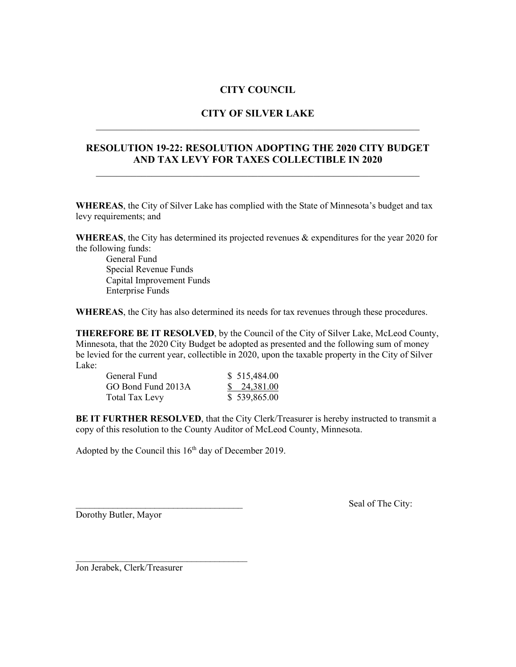### **CITY COUNCIL**

# **CITY OF SILVER LAKE** \_\_\_\_\_\_\_\_\_\_\_\_\_\_\_\_\_\_\_\_\_\_\_\_\_\_\_\_\_\_\_\_\_\_\_\_\_\_\_\_\_\_\_\_\_\_\_\_\_\_\_\_\_\_\_\_\_\_\_\_\_\_\_\_

### **RESOLUTION 19-22: RESOLUTION ADOPTING THE 2020 CITY BUDGET AND TAX LEVY FOR TAXES COLLECTIBLE IN 2020**

\_\_\_\_\_\_\_\_\_\_\_\_\_\_\_\_\_\_\_\_\_\_\_\_\_\_\_\_\_\_\_\_\_\_\_\_\_\_\_\_\_\_\_\_\_\_\_\_\_\_\_\_\_\_\_\_\_\_\_\_\_\_\_\_

**WHEREAS**, the City of Silver Lake has complied with the State of Minnesota's budget and tax levy requirements; and

**WHEREAS**, the City has determined its projected revenues & expenditures for the year 2020 for the following funds:

General Fund Special Revenue Funds Capital Improvement Funds Enterprise Funds

**WHEREAS**, the City has also determined its needs for tax revenues through these procedures.

**THEREFORE BE IT RESOLVED**, by the Council of the City of Silver Lake, McLeod County, Minnesota, that the 2020 City Budget be adopted as presented and the following sum of money be levied for the current year, collectible in 2020, upon the taxable property in the City of Silver Lake:

| General Fund          | \$515,484.00 |
|-----------------------|--------------|
| GO Bond Fund 2013A    | \$24,381.00  |
| <b>Total Tax Levy</b> | \$539,865.00 |

**BE IT FURTHER RESOLVED**, that the City Clerk/Treasurer is hereby instructed to transmit a copy of this resolution to the County Auditor of McLeod County, Minnesota.

Adopted by the Council this  $16<sup>th</sup>$  day of December 2019.

Dorothy Butler, Mayor

Seal of The City:

Jon Jerabek, Clerk/Treasurer

 $\mathcal{L}_\text{max}$  , where  $\mathcal{L}_\text{max}$  , we are the set of the set of the set of the set of the set of the set of the set of the set of the set of the set of the set of the set of the set of the set of the set of the set of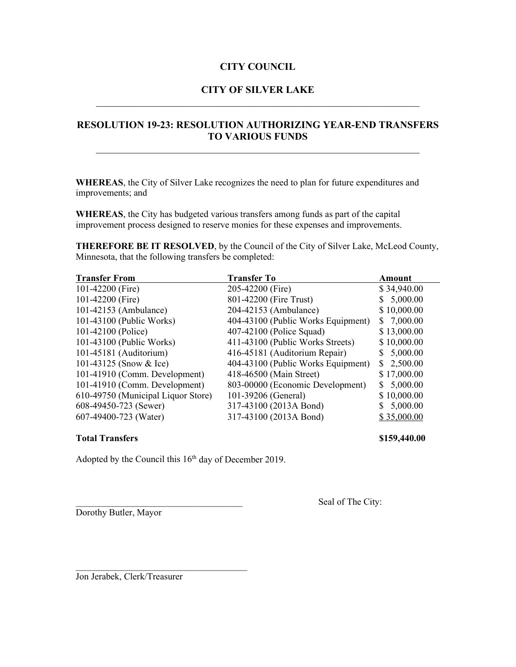### **CITY COUNCIL**

# **CITY OF SILVER LAKE** \_\_\_\_\_\_\_\_\_\_\_\_\_\_\_\_\_\_\_\_\_\_\_\_\_\_\_\_\_\_\_\_\_\_\_\_\_\_\_\_\_\_\_\_\_\_\_\_\_\_\_\_\_\_\_\_\_\_\_\_\_\_\_\_

# **RESOLUTION 19-23: RESOLUTION AUTHORIZING YEAR-END TRANSFERS TO VARIOUS FUNDS**

**WHEREAS**, the City of Silver Lake recognizes the need to plan for future expenditures and improvements; and

**WHEREAS**, the City has budgeted various transfers among funds as part of the capital improvement process designed to reserve monies for these expenses and improvements.

**THEREFORE BE IT RESOLVED**, by the Council of the City of Silver Lake, McLeod County, Minnesota, that the following transfers be completed:

| <b>Transfer From</b>               | <b>Transfer To</b>                 | Amount         |
|------------------------------------|------------------------------------|----------------|
| 101-42200 (Fire)                   | 205-42200 (Fire)                   | \$34,940.00    |
| 101-42200 (Fire)                   | 801-42200 (Fire Trust)             | \$5,000.00     |
| 101-42153 (Ambulance)              | 204-42153 (Ambulance)              | \$10,000.00    |
| 101-43100 (Public Works)           | 404-43100 (Public Works Equipment) | \$7,000.00     |
| 101-42100 (Police)                 | 407-42100 (Police Squad)           | \$13,000.00    |
| 101-43100 (Public Works)           | 411-43100 (Public Works Streets)   | \$10,000.00    |
| 101-45181 (Auditorium)             | 416-45181 (Auditorium Repair)      | \$5,000.00     |
| 101-43125 (Snow & Ice)             | 404-43100 (Public Works Equipment) | \$2,500.00     |
| 101-41910 (Comm. Development)      | 418-46500 (Main Street)            | \$17,000.00    |
| 101-41910 (Comm. Development)      | 803-00000 (Economic Development)   | 5,000.00<br>S. |
| 610-49750 (Municipal Liquor Store) | 101-39206 (General)                | \$10,000.00    |
| 608-49450-723 (Sewer)              | 317-43100 (2013A Bond)             | \$5,000.00     |
| 607-49400-723 (Water)              | 317-43100 (2013A Bond)             | \$35,000.00    |

### **Total Transfers \$159,440.00**

Adopted by the Council this 16<sup>th</sup> day of December 2019.

Dorothy Butler, Mayor

Seal of The City:

Jon Jerabek, Clerk/Treasurer

 $\mathcal{L}_\text{max}$  , where  $\mathcal{L}_\text{max}$  , we are the set of the set of the set of the set of the set of the set of the set of the set of the set of the set of the set of the set of the set of the set of the set of the set of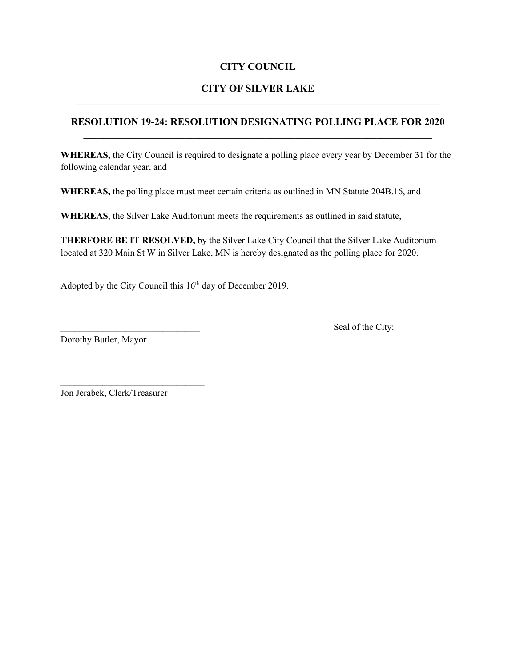# **CITY COUNCIL**

# **CITY OF SILVER LAKE**

# **RESOLUTION 19-24: RESOLUTION DESIGNATING POLLING PLACE FOR 2020**

**WHEREAS,** the City Council is required to designate a polling place every year by December 31 for the following calendar year, and

**WHEREAS,** the polling place must meet certain criteria as outlined in MN Statute 204B.16, and

**WHEREAS**, the Silver Lake Auditorium meets the requirements as outlined in said statute,

**THERFORE BE IT RESOLVED,** by the Silver Lake City Council that the Silver Lake Auditorium located at 320 Main St W in Silver Lake, MN is hereby designated as the polling place for 2020.

Adopted by the City Council this 16<sup>th</sup> day of December 2019.

Dorothy Butler, Mayor

Seal of the City:

Jon Jerabek, Clerk/Treasurer

\_\_\_\_\_\_\_\_\_\_\_\_\_\_\_\_\_\_\_\_\_\_\_\_\_\_\_\_\_\_\_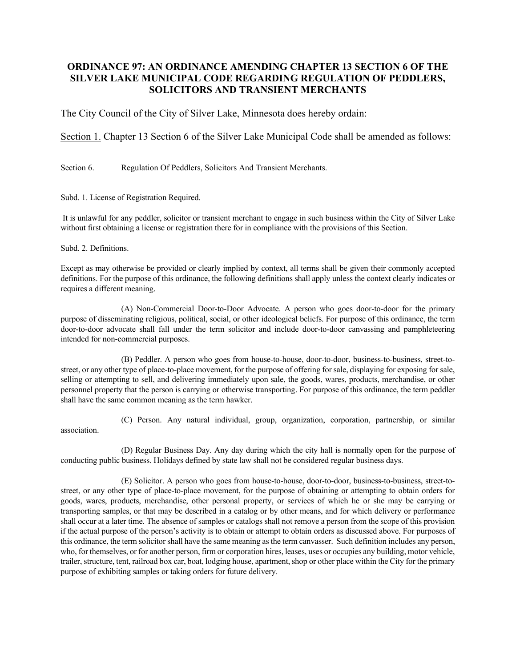### **ORDINANCE 97: AN ORDINANCE AMENDING CHAPTER 13 SECTION 6 OF THE SILVER LAKE MUNICIPAL CODE REGARDING REGULATION OF PEDDLERS, SOLICITORS AND TRANSIENT MERCHANTS**

The City Council of the City of Silver Lake, Minnesota does hereby ordain:

Section 1. Chapter 13 Section 6 of the Silver Lake Municipal Code shall be amended as follows:

Section 6. Regulation Of Peddlers, Solicitors And Transient Merchants.

Subd. 1. License of Registration Required.

It is unlawful for any peddler, solicitor or transient merchant to engage in such business within the City of Silver Lake without first obtaining a license or registration there for in compliance with the provisions of this Section.

Subd. 2. Definitions.

Except as may otherwise be provided or clearly implied by context, all terms shall be given their commonly accepted definitions. For the purpose of this ordinance, the following definitions shall apply unless the context clearly indicates or requires a different meaning.

(A) Non-Commercial Door-to-Door Advocate. A person who goes door-to-door for the primary purpose of disseminating religious, political, social, or other ideological beliefs. For purpose of this ordinance, the term door-to-door advocate shall fall under the term solicitor and include door-to-door canvassing and pamphleteering intended for non-commercial purposes.

(B) Peddler. A person who goes from house-to-house, door-to-door, business-to-business, street-tostreet, or any other type of place-to-place movement, for the purpose of offering for sale, displaying for exposing for sale, selling or attempting to sell, and delivering immediately upon sale, the goods, wares, products, merchandise, or other personnel property that the person is carrying or otherwise transporting. For purpose of this ordinance, the term peddler shall have the same common meaning as the term hawker.

(C) Person. Any natural individual, group, organization, corporation, partnership, or similar association.

(D) Regular Business Day. Any day during which the city hall is normally open for the purpose of conducting public business. Holidays defined by state law shall not be considered regular business days.

(E) Solicitor. A person who goes from house-to-house, door-to-door, business-to-business, street-tostreet, or any other type of place-to-place movement, for the purpose of obtaining or attempting to obtain orders for goods, wares, products, merchandise, other personal property, or services of which he or she may be carrying or transporting samples, or that may be described in a catalog or by other means, and for which delivery or performance shall occur at a later time. The absence of samples or catalogs shall not remove a person from the scope of this provision if the actual purpose of the person's activity is to obtain or attempt to obtain orders as discussed above. For purposes of this ordinance, the term solicitor shall have the same meaning as the term canvasser. Such definition includes any person, who, for themselves, or for another person, firm or corporation hires, leases, uses or occupies any building, motor vehicle, trailer, structure, tent, railroad box car, boat, lodging house, apartment, shop or other place within the City for the primary purpose of exhibiting samples or taking orders for future delivery.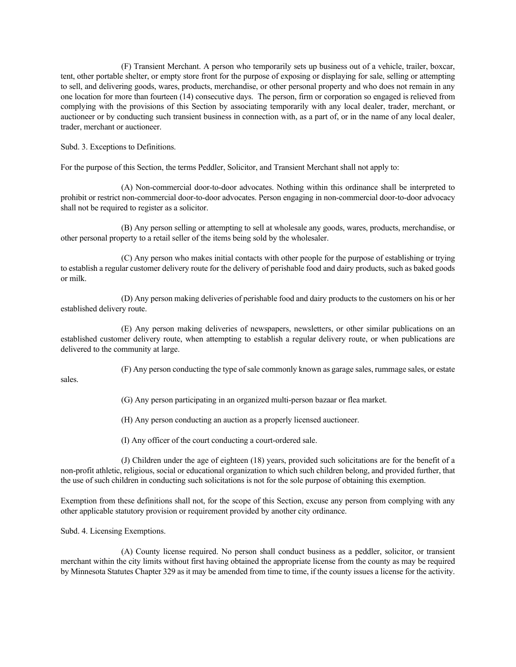(F) Transient Merchant. A person who temporarily sets up business out of a vehicle, trailer, boxcar, tent, other portable shelter, or empty store front for the purpose of exposing or displaying for sale, selling or attempting to sell, and delivering goods, wares, products, merchandise, or other personal property and who does not remain in any one location for more than fourteen (14) consecutive days. The person, firm or corporation so engaged is relieved from complying with the provisions of this Section by associating temporarily with any local dealer, trader, merchant, or auctioneer or by conducting such transient business in connection with, as a part of, or in the name of any local dealer, trader, merchant or auctioneer.

Subd. 3. Exceptions to Definitions.

For the purpose of this Section, the terms Peddler, Solicitor, and Transient Merchant shall not apply to:

(A) Non-commercial door-to-door advocates. Nothing within this ordinance shall be interpreted to prohibit or restrict non-commercial door-to-door advocates. Person engaging in non-commercial door-to-door advocacy shall not be required to register as a solicitor.

(B) Any person selling or attempting to sell at wholesale any goods, wares, products, merchandise, or other personal property to a retail seller of the items being sold by the wholesaler.

(C) Any person who makes initial contacts with other people for the purpose of establishing or trying to establish a regular customer delivery route for the delivery of perishable food and dairy products, such as baked goods or milk.

(D) Any person making deliveries of perishable food and dairy products to the customers on his or her established delivery route.

(E) Any person making deliveries of newspapers, newsletters, or other similar publications on an established customer delivery route, when attempting to establish a regular delivery route, or when publications are delivered to the community at large.

(F) Any person conducting the type of sale commonly known as garage sales, rummage sales, or estate

sales.

(G) Any person participating in an organized multi-person bazaar or flea market.

(H) Any person conducting an auction as a properly licensed auctioneer.

(I) Any officer of the court conducting a court-ordered sale.

(J) Children under the age of eighteen (18) years, provided such solicitations are for the benefit of a non-profit athletic, religious, social or educational organization to which such children belong, and provided further, that the use of such children in conducting such solicitations is not for the sole purpose of obtaining this exemption.

Exemption from these definitions shall not, for the scope of this Section, excuse any person from complying with any other applicable statutory provision or requirement provided by another city ordinance.

Subd. 4. Licensing Exemptions.

(A) County license required. No person shall conduct business as a peddler, solicitor, or transient merchant within the city limits without first having obtained the appropriate license from the county as may be required by Minnesota Statutes Chapter 329 as it may be amended from time to time, if the county issues a license for the activity.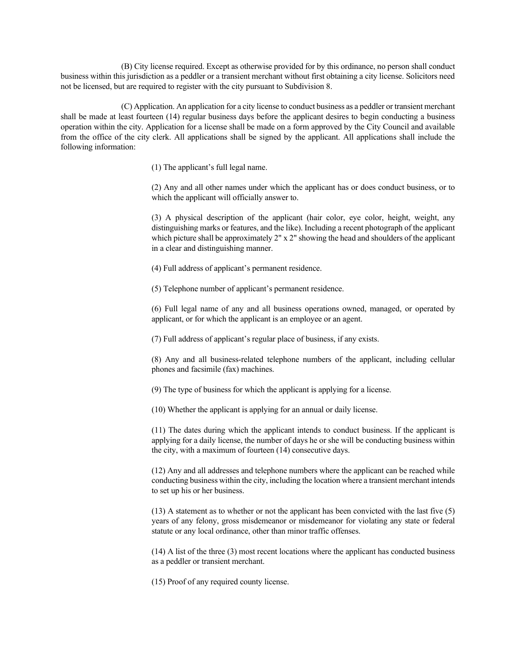(B) City license required. Except as otherwise provided for by this ordinance, no person shall conduct business within this jurisdiction as a peddler or a transient merchant without first obtaining a city license. Solicitors need not be licensed, but are required to register with the city pursuant to Subdivision 8.

(C) Application. An application for a city license to conduct business as a peddler or transient merchant shall be made at least fourteen (14) regular business days before the applicant desires to begin conducting a business operation within the city. Application for a license shall be made on a form approved by the City Council and available from the office of the city clerk. All applications shall be signed by the applicant. All applications shall include the following information:

(1) The applicant's full legal name.

(2) Any and all other names under which the applicant has or does conduct business, or to which the applicant will officially answer to.

(3) A physical description of the applicant (hair color, eye color, height, weight, any distinguishing marks or features, and the like). Including a recent photograph of the applicant which picture shall be approximately  $2''$  x  $2''$  showing the head and shoulders of the applicant in a clear and distinguishing manner.

(4) Full address of applicant's permanent residence.

(5) Telephone number of applicant's permanent residence.

(6) Full legal name of any and all business operations owned, managed, or operated by applicant, or for which the applicant is an employee or an agent.

(7) Full address of applicant's regular place of business, if any exists.

(8) Any and all business-related telephone numbers of the applicant, including cellular phones and facsimile (fax) machines.

(9) The type of business for which the applicant is applying for a license.

(10) Whether the applicant is applying for an annual or daily license.

(11) The dates during which the applicant intends to conduct business. If the applicant is applying for a daily license, the number of days he or she will be conducting business within the city, with a maximum of fourteen (14) consecutive days.

(12) Any and all addresses and telephone numbers where the applicant can be reached while conducting business within the city, including the location where a transient merchant intends to set up his or her business.

(13) A statement as to whether or not the applicant has been convicted with the last five (5) years of any felony, gross misdemeanor or misdemeanor for violating any state or federal statute or any local ordinance, other than minor traffic offenses.

(14) A list of the three (3) most recent locations where the applicant has conducted business as a peddler or transient merchant.

(15) Proof of any required county license.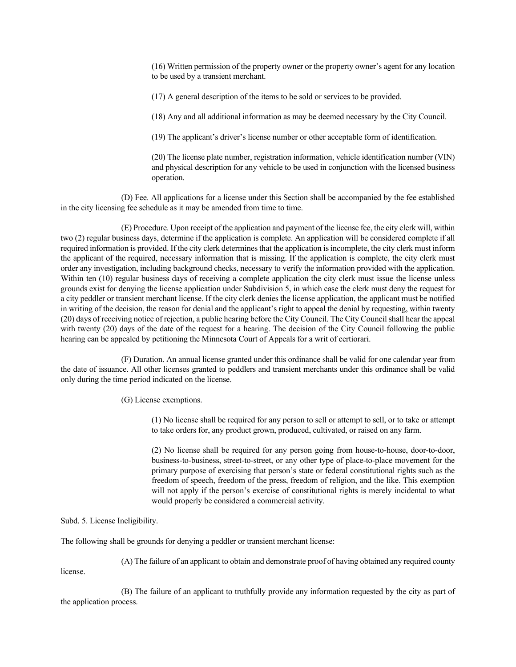(16) Written permission of the property owner or the property owner's agent for any location to be used by a transient merchant.

(17) A general description of the items to be sold or services to be provided.

(18) Any and all additional information as may be deemed necessary by the City Council.

(19) The applicant's driver's license number or other acceptable form of identification.

(20) The license plate number, registration information, vehicle identification number (VIN) and physical description for any vehicle to be used in conjunction with the licensed business operation.

(D) Fee. All applications for a license under this Section shall be accompanied by the fee established in the city licensing fee schedule as it may be amended from time to time.

(E) Procedure. Upon receipt of the application and payment of the license fee, the city clerk will, within two (2) regular business days, determine if the application is complete. An application will be considered complete if all required information is provided. If the city clerk determines that the application is incomplete, the city clerk must inform the applicant of the required, necessary information that is missing. If the application is complete, the city clerk must order any investigation, including background checks, necessary to verify the information provided with the application. Within ten (10) regular business days of receiving a complete application the city clerk must issue the license unless grounds exist for denying the license application under Subdivision 5, in which case the clerk must deny the request for a city peddler or transient merchant license. If the city clerk denies the license application, the applicant must be notified in writing of the decision, the reason for denial and the applicant's right to appeal the denial by requesting, within twenty (20) days of receiving notice of rejection, a public hearing before the City Council. The City Council shall hear the appeal with twenty (20) days of the date of the request for a hearing. The decision of the City Council following the public hearing can be appealed by petitioning the Minnesota Court of Appeals for a writ of certiorari.

(F) Duration. An annual license granted under this ordinance shall be valid for one calendar year from the date of issuance. All other licenses granted to peddlers and transient merchants under this ordinance shall be valid only during the time period indicated on the license.

(G) License exemptions.

(1) No license shall be required for any person to sell or attempt to sell, or to take or attempt to take orders for, any product grown, produced, cultivated, or raised on any farm.

(2) No license shall be required for any person going from house-to-house, door-to-door, business-to-business, street-to-street, or any other type of place-to-place movement for the primary purpose of exercising that person's state or federal constitutional rights such as the freedom of speech, freedom of the press, freedom of religion, and the like. This exemption will not apply if the person's exercise of constitutional rights is merely incidental to what would properly be considered a commercial activity.

Subd. 5. License Ineligibility.

license.

The following shall be grounds for denying a peddler or transient merchant license:

(A) The failure of an applicant to obtain and demonstrate proof of having obtained any required county

(B) The failure of an applicant to truthfully provide any information requested by the city as part of the application process.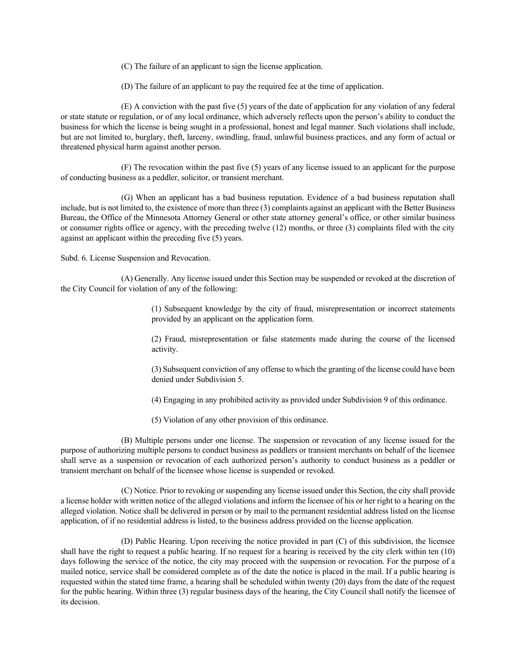(C) The failure of an applicant to sign the license application.

(D) The failure of an applicant to pay the required fee at the time of application.

(E) A conviction with the past five (5) years of the date of application for any violation of any federal or state statute or regulation, or of any local ordinance, which adversely reflects upon the person's ability to conduct the business for which the license is being sought in a professional, honest and legal manner. Such violations shall include, but are not limited to, burglary, theft, larceny, swindling, fraud, unlawful business practices, and any form of actual or threatened physical harm against another person.

(F) The revocation within the past five (5) years of any license issued to an applicant for the purpose of conducting business as a peddler, solicitor, or transient merchant.

(G) When an applicant has a bad business reputation. Evidence of a bad business reputation shall include, but is not limited to, the existence of more than three (3) complaints against an applicant with the Better Business Bureau, the Office of the Minnesota Attorney General or other state attorney general's office, or other similar business or consumer rights office or agency, with the preceding twelve (12) months, or three (3) complaints filed with the city against an applicant within the preceding five (5) years.

Subd. 6. License Suspension and Revocation.

(A) Generally. Any license issued under this Section may be suspended or revoked at the discretion of the City Council for violation of any of the following:

> (1) Subsequent knowledge by the city of fraud, misrepresentation or incorrect statements provided by an applicant on the application form.

> (2) Fraud, misrepresentation or false statements made during the course of the licensed activity.

> (3) Subsequent conviction of any offense to which the granting of the license could have been denied under Subdivision 5.

(4) Engaging in any prohibited activity as provided under Subdivision 9 of this ordinance.

(5) Violation of any other provision of this ordinance.

(B) Multiple persons under one license. The suspension or revocation of any license issued for the purpose of authorizing multiple persons to conduct business as peddlers or transient merchants on behalf of the licensee shall serve as a suspension or revocation of each authorized person's authority to conduct business as a peddler or transient merchant on behalf of the licensee whose license is suspended or revoked.

(C) Notice. Prior to revoking or suspending any license issued under this Section, the city shall provide a license holder with written notice of the alleged violations and inform the licensee of his or her right to a hearing on the alleged violation. Notice shall be delivered in person or by mail to the permanent residential address listed on the license application, of if no residential address is listed, to the business address provided on the license application.

(D) Public Hearing. Upon receiving the notice provided in part (C) of this subdivision, the licensee shall have the right to request a public hearing. If no request for a hearing is received by the city clerk within ten (10) days following the service of the notice, the city may proceed with the suspension or revocation. For the purpose of a mailed notice, service shall be considered complete as of the date the notice is placed in the mail. If a public hearing is requested within the stated time frame, a hearing shall be scheduled within twenty (20) days from the date of the request for the public hearing. Within three (3) regular business days of the hearing, the City Council shall notify the licensee of its decision.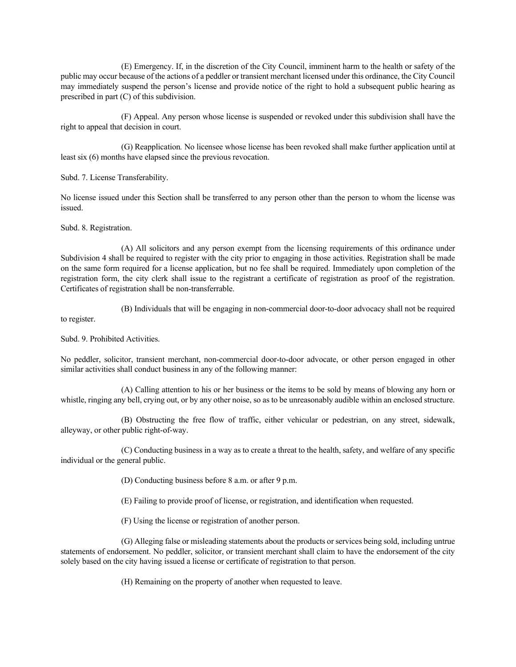(E) Emergency. If, in the discretion of the City Council, imminent harm to the health or safety of the public may occur because of the actions of a peddler or transient merchant licensed under this ordinance, the City Council may immediately suspend the person's license and provide notice of the right to hold a subsequent public hearing as prescribed in part (C) of this subdivision.

(F) Appeal. Any person whose license is suspended or revoked under this subdivision shall have the right to appeal that decision in court.

(G) Reapplication*.* No licensee whose license has been revoked shall make further application until at least six (6) months have elapsed since the previous revocation.

Subd. 7. License Transferability.

No license issued under this Section shall be transferred to any person other than the person to whom the license was issued.

Subd. 8. Registration.

(A) All solicitors and any person exempt from the licensing requirements of this ordinance under Subdivision 4 shall be required to register with the city prior to engaging in those activities. Registration shall be made on the same form required for a license application, but no fee shall be required. Immediately upon completion of the registration form, the city clerk shall issue to the registrant a certificate of registration as proof of the registration. Certificates of registration shall be non-transferrable.

to register.

(B) Individuals that will be engaging in non-commercial door-to-door advocacy shall not be required

Subd. 9. Prohibited Activities.

No peddler, solicitor, transient merchant, non-commercial door-to-door advocate, or other person engaged in other similar activities shall conduct business in any of the following manner:

(A) Calling attention to his or her business or the items to be sold by means of blowing any horn or whistle, ringing any bell, crying out, or by any other noise, so as to be unreasonably audible within an enclosed structure.

(B) Obstructing the free flow of traffic, either vehicular or pedestrian, on any street, sidewalk, alleyway, or other public right-of-way.

(C) Conducting business in a way as to create a threat to the health, safety, and welfare of any specific individual or the general public.

(D) Conducting business before 8 a.m. or after 9 p.m.

(E) Failing to provide proof of license, or registration, and identification when requested.

(F) Using the license or registration of another person.

(G) Alleging false or misleading statements about the products or services being sold, including untrue statements of endorsement. No peddler, solicitor, or transient merchant shall claim to have the endorsement of the city solely based on the city having issued a license or certificate of registration to that person.

(H) Remaining on the property of another when requested to leave.